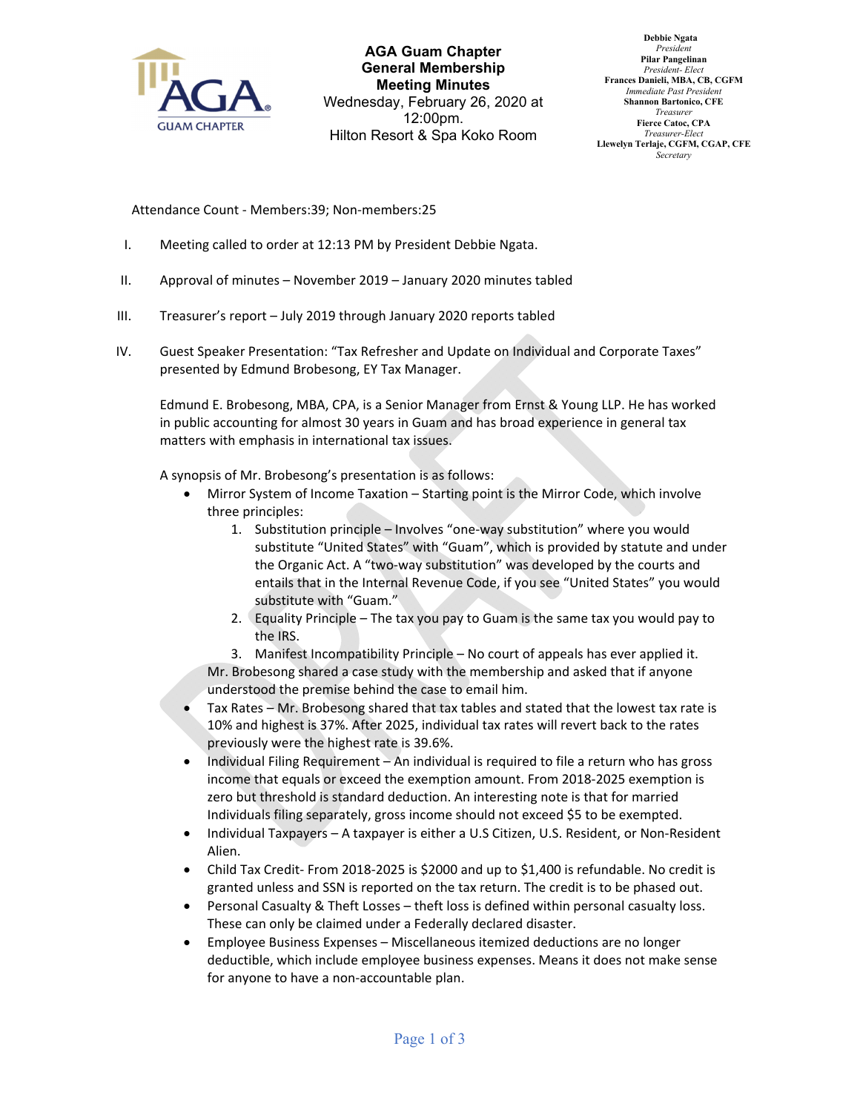

**AGA Guam Chapter General Membership Meeting Minutes** Wednesday, February 26, 2020 at 12:00pm. Hilton Resort & Spa Koko Room

 **Debbie Ngata** *President* **Pilar Pangelinan** *President- Elect* **Frances Danieli, MBA, CB, CGFM** *Immediate Past President* **Shannon Bartonico, CFE** *Treasurer* **Fierce Catoc, CPA** *Treasurer-Elect* **Llewelyn Terlaje, CGFM, CGAP, CFE** *Secretary*

Attendance Count ‐ Members:39; Non‐members:25

- I. Meeting called to order at 12:13 PM by President Debbie Ngata.
- II. Approval of minutes November 2019 January 2020 minutes tabled
- III. Treasurer's report July 2019 through January 2020 reports tabled
- IV. Guest Speaker Presentation: "Tax Refresher and Update on Individual and Corporate Taxes" presented by Edmund Brobesong, EY Tax Manager.

Edmund E. Brobesong, MBA, CPA, is a Senior Manager from Ernst & Young LLP. He has worked in public accounting for almost 30 years in Guam and has broad experience in general tax matters with emphasis in international tax issues.

A synopsis of Mr. Brobesong's presentation is as follows:

- Mirror System of Income Taxation Starting point is the Mirror Code, which involve three principles:
	- 1. Substitution principle Involves "one‐way substitution" where you would substitute "United States" with "Guam", which is provided by statute and under the Organic Act. A "two‐way substitution" was developed by the courts and entails that in the Internal Revenue Code, if you see "United States" you would substitute with "Guam."
	- 2. Equality Principle The tax you pay to Guam is the same tax you would pay to the IRS.

3. Manifest Incompatibility Principle – No court of appeals has ever applied it. Mr. Brobesong shared a case study with the membership and asked that if anyone understood the premise behind the case to email him.

- Tax Rates Mr. Brobesong shared that tax tables and stated that the lowest tax rate is 10% and highest is 37%. After 2025, individual tax rates will revert back to the rates previously were the highest rate is 39.6%.
- Individual Filing Requirement An individual is required to file a return who has gross income that equals or exceed the exemption amount. From 2018‐2025 exemption is zero but threshold is standard deduction. An interesting note is that for married Individuals filing separately, gross income should not exceed \$5 to be exempted.
- Individual Taxpayers A taxpayer is either a U.S Citizen, U.S. Resident, or Non‐Resident Alien.
- Child Tax Credit‐ From 2018‐2025 is \$2000 and up to \$1,400 is refundable. No credit is granted unless and SSN is reported on the tax return. The credit is to be phased out.
- Personal Casualty & Theft Losses theft loss is defined within personal casualty loss. These can only be claimed under a Federally declared disaster.
- Employee Business Expenses Miscellaneous itemized deductions are no longer deductible, which include employee business expenses. Means it does not make sense for anyone to have a non‐accountable plan.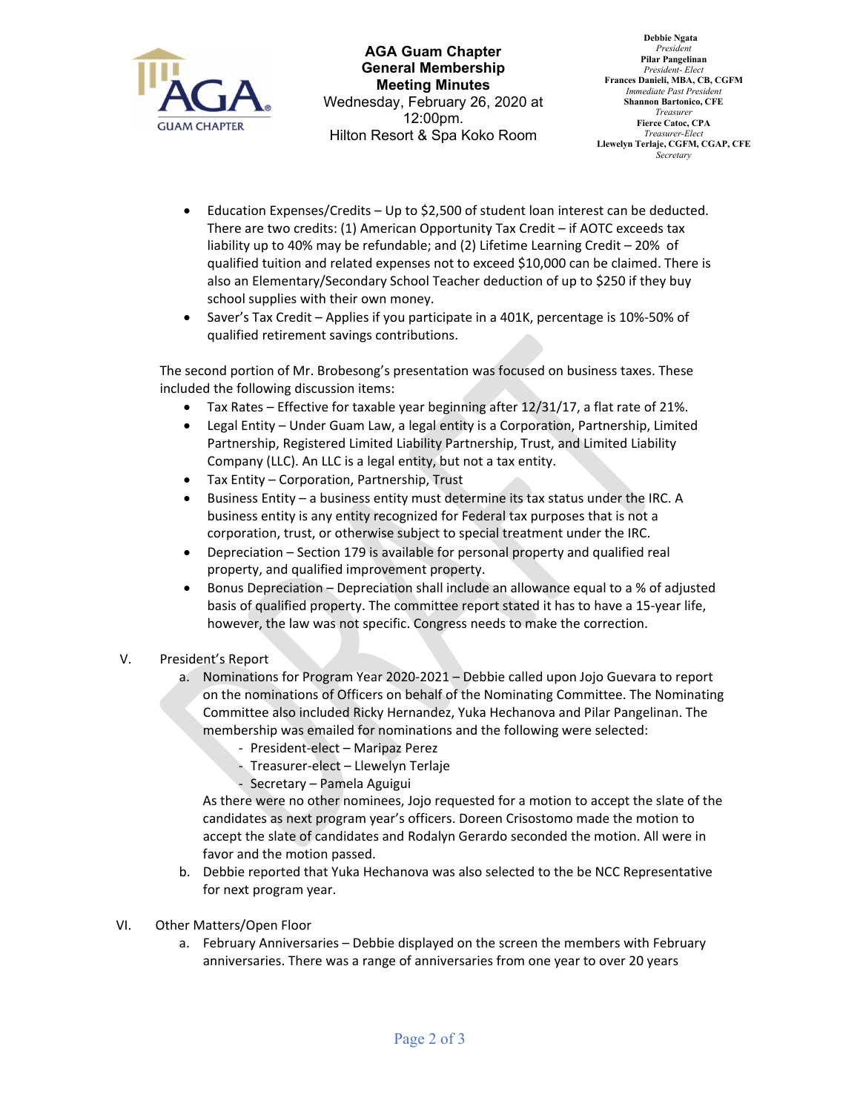

**AGA Guam Chapter General Membership Meeting Minutes** Wednesday, February 26, 2020 at 12:00pm. Hilton Resort & Spa Koko Room

- Education Expenses/Credits Up to \$2,500 of student loan interest can be deducted. There are two credits: (1) American Opportunity Tax Credit – if AOTC exceeds tax liability up to 40% may be refundable; and (2) Lifetime Learning Credit – 20% of qualified tuition and related expenses not to exceed \$10,000 can be claimed. There is also an Elementary/Secondary School Teacher deduction of up to \$250 if they buy school supplies with their own money.
- Saver's Tax Credit Applies if you participate in a 401K, percentage is 10%‐50% of qualified retirement savings contributions.

The second portion of Mr. Brobesong's presentation was focused on business taxes. These included the following discussion items:

- Tax Rates Effective for taxable year beginning after 12/31/17, a flat rate of 21%.
- Legal Entity Under Guam Law, a legal entity is a Corporation, Partnership, Limited Partnership, Registered Limited Liability Partnership, Trust, and Limited Liability Company (LLC). An LLC is a legal entity, but not a tax entity.
- Tax Entity Corporation, Partnership, Trust
- Business Entity a business entity must determine its tax status under the IRC. A business entity is any entity recognized for Federal tax purposes that is not a corporation, trust, or otherwise subject to special treatment under the IRC.
- Depreciation Section 179 is available for personal property and qualified real property, and qualified improvement property.
- Bonus Depreciation Depreciation shall include an allowance equal to a % of adjusted basis of qualified property. The committee report stated it has to have a 15‐year life, however, the law was not specific. Congress needs to make the correction.
- V. President's Report
	- a. Nominations for Program Year 2020‐2021 Debbie called upon Jojo Guevara to report on the nominations of Officers on behalf of the Nominating Committee. The Nominating Committee also included Ricky Hernandez, Yuka Hechanova and Pilar Pangelinan. The membership was emailed for nominations and the following were selected:
		- ‐ President‐elect Maripaz Perez
		- ‐ Treasurer‐elect Llewelyn Terlaje
		- ‐ Secretary Pamela Aguigui

As there were no other nominees, Jojo requested for a motion to accept the slate of the candidates as next program year's officers. Doreen Crisostomo made the motion to accept the slate of candidates and Rodalyn Gerardo seconded the motion. All were in favor and the motion passed.

- b. Debbie reported that Yuka Hechanova was also selected to the be NCC Representative for next program year.
- VI. Other Matters/Open Floor
	- a. February Anniversaries Debbie displayed on the screen the members with February anniversaries. There was a range of anniversaries from one year to over 20 years